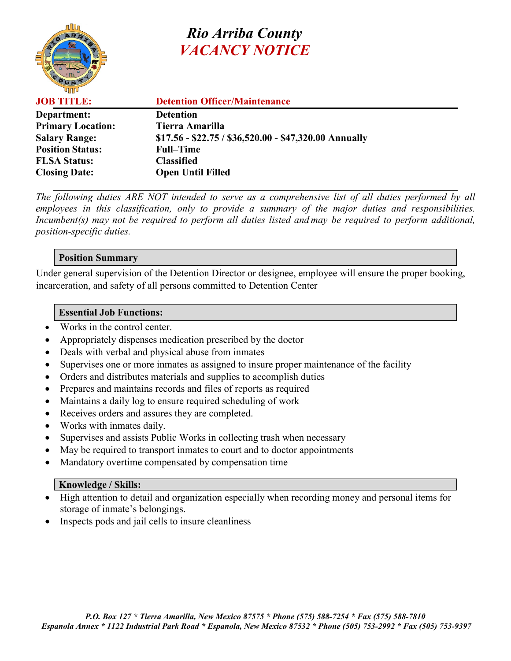

# *Rio Arriba County VACANCY NOTICE*

| <b>JOB TITLE:</b>        | <b>Detention Officer/Maintenance</b>                 |
|--------------------------|------------------------------------------------------|
| Department:              | <b>Detention</b>                                     |
| <b>Primary Location:</b> | Tierra Amarilla                                      |
| <b>Salary Range:</b>     | $$17.56 - $22.75 / $36,520.00 - $47,320.00$ Annually |
| <b>Position Status:</b>  | <b>Full–Time</b>                                     |
| <b>FLSA Status:</b>      | <b>Classified</b>                                    |
| <b>Closing Date:</b>     | <b>Open Until Filled</b>                             |

*The following duties ARE NOT intended to serve as a comprehensive list of all duties performed by all employees in this classification, only to provide a summary of the major duties and responsibilities. Incumbent(s) may not be required to perform all duties listed and may be required to perform additional, position-specific duties.*

## **Position Summary**

Under general supervision of the Detention Director or designee, employee will ensure the proper booking, incarceration, and safety of all persons committed to Detention Center

## **Essential Job Functions:**

- Works in the control center.
- Appropriately dispenses medication prescribed by the doctor
- Deals with verbal and physical abuse from inmates
- Supervises one or more inmates as assigned to insure proper maintenance of the facility
- Orders and distributes materials and supplies to accomplish duties
- Prepares and maintains records and files of reports as required
- Maintains a daily log to ensure required scheduling of work
- Receives orders and assures they are completed.
- Works with inmates daily.
- Supervises and assists Public Works in collecting trash when necessary
- May be required to transport inmates to court and to doctor appointments
- Mandatory overtime compensated by compensation time

#### **Knowledge / Skills:**

- High attention to detail and organization especially when recording money and personal items for storage of inmate's belongings.
- Inspects pods and jail cells to insure cleanliness